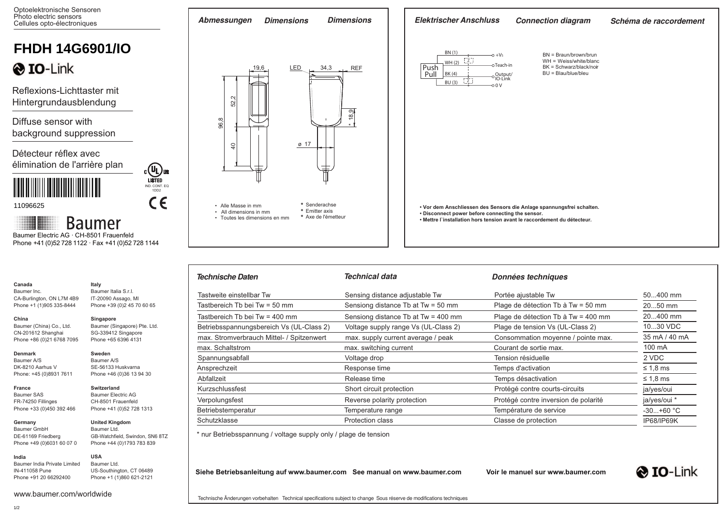Optoelektronische Sensoren Photo electric sensors

| Photo electric sensors<br>Cellules opto-électroniques                                                         |                                              | <b>Dimensions</b><br>Abmessungen<br><b>Dimensions</b>                           |                                 | <b>Elektrischer Anschluss</b>                    | <b>Connection diagram</b>                                                  | Schéma de raccordement |
|---------------------------------------------------------------------------------------------------------------|----------------------------------------------|---------------------------------------------------------------------------------|---------------------------------|--------------------------------------------------|----------------------------------------------------------------------------|------------------------|
| <b>FHDH 14G6901/IO</b>                                                                                        |                                              |                                                                                 | BN (1)                          | $-0 + Vs$                                        | $BN = Braun/brown/brun$                                                    |                        |
| <b>O</b> IO-Link                                                                                              |                                              | LED<br>34,3<br><b>REF</b><br>19,6                                               | WH (2)<br>Push<br>Pull<br>BK(4) | -oTeach-in<br>o Output/<br>O IO-Link             | $WH = Weiss/white/blanc$<br>BK = Schwarz/black/noir<br>BU = Blau/blue/bleu |                        |
| Reflexions-Lichttaster mit<br>Hintergrundausblendung                                                          |                                              | $\sim$<br>$5^{\circ}$                                                           | BU (3)                          | 1.Z.)<br>$-00V$                                  |                                                                            |                        |
| Diffuse sensor with<br>background suppression                                                                 |                                              | 8.9<br>96,8                                                                     |                                 |                                                  |                                                                            |                        |
| Détecteur réflex avec<br>élimination de l'arrière plan                                                        | $c(U_L)$ us                                  | $\varnothing$ 17<br>$\overline{a}$                                              |                                 |                                                  |                                                                            |                        |
| 11096625                                                                                                      | <b>LISTED</b><br>IND. CONT. EQ<br>1DD2<br>C€ | * Senderachse<br>• Alle Masse in mm<br>* Emitter axis<br>• All dimensions in mm |                                 |                                                  | • Vor dem Anschliessen des Sensors die Anlage spannungsfrei schalten.      |                        |
| <b>Baumer</b><br>Baumer Electric AG · CH-8501 Frauenfeld<br>Phone +41 (0)52 728 1122 · Fax +41 (0)52 728 1144 |                                              | * Axe de l'émetteur<br>• Toutes les dimensions en mm                            |                                 | . Disconnect power before connecting the sensor. | • Mettre l'installation hors tension avant le raccordement du détecteur.   |                        |
|                                                                                                               |                                              |                                                                                 |                                 |                                                  |                                                                            |                        |

| Technische Daten                          | Technical data                       | <b>Données techniques</b>            |                   |  |
|-------------------------------------------|--------------------------------------|--------------------------------------|-------------------|--|
| Tastweite einstellbar Tw                  | Sensing distance adjustable Tw       | Portée ajustable Tw                  | 50400 mm          |  |
| Tastbereich Tb bei Tw = $50 \text{ mm}$   | Sensiong distance Tb at Tw = 50 mm   | Plage de détection Tb à Tw = 50 mm   | 2050 mm           |  |
| Tastbereich Tb bei Tw = 400 mm            | Sensiong distance Tb at Tw = 400 mm  | Plage de détection Tb à Tw = 400 mm  | 20400 mm          |  |
| Betriebsspannungsbereich Vs (UL-Class 2)  | Voltage supply range Vs (UL-Class 2) | Plage de tension Vs (UL-Class 2)     | 1030 VDC          |  |
| max. Stromverbrauch Mittel- / Spitzenwert | max. supply current average / peak   | Consommation moyenne / pointe max.   | 35 mA / 40 mA     |  |
| max. Schaltstrom                          | max. switching current               | Courant de sortie max.               | 100 mA            |  |
| Spannungsabfall                           | Voltage drop                         | Tension résiduelle                   | 2 VDC             |  |
| Ansprechzeit                              | Response time                        | Temps d'activation                   | $\leq 1.8$ ms     |  |
| Abfallzeit                                | Release time                         | Temps désactivation                  | $\leq 1.8$ ms     |  |
| Kurzschlussfest                           | Short circuit protection             | Protégé contre courts-circuits       | ja/yes/oui        |  |
| Verpolungsfest                            | Reverse polarity protection          | Protégé contre inversion de polarité | ja/yes/oui *      |  |
| Betriebstemperatur                        | Temperature range                    | Température de service               | $-30+60 °C$       |  |
| Schutzklasse                              | <b>Protection class</b>              | Classe de protection                 | <b>IP68/IP69K</b> |  |

\* nur Betriebsspannung / voltage supply only / plage de tension

**Siehe Betriebsanleitung auf www.baumer.com See manual on www.baumer.com Voir le manuel sur www.baumer.com**



Phone +91 20 66292400 US-Southington, CT 06489 Phone +1 (1)860 621-2121

GB-Watchfield, Swindon, SN6 8TZ Phone +44 (0)1793 783 839

Baumer India Private Limited IN-411058 Pune

**Canada** Baumer Inc.

**China** 

**Denmark** Baumer A/S DK-8210 Aarhus V Phone: +45 (0)8931 7611

**France** Baumer SAS FR-74250 Fillinges Phone +33 (0)450 392 466

**Germany**  Baumer GmbH DE-61169 Friedberg Phone +49 (0)6031 60 07 0

**India**

CA-Burlington, ON L7M 4B9 Phone +1 (1)905 335-8444

**Italy** Baumer Italia S.r.l. IT-20090 Assago, MI Phone +39 (0) 2 45 70 60 65

**Singapore**

**Sweden** Baumer A/S SE-56133 Huskvarna Phone +46 (0)36 13 94 30

**Switzerland** Baumer Electric AG CH-8501 Frauenfeld Phone +41 (0)52 728 1313 **United Kingdom** Baumer Ltd.

**USA** Baumer Ltd.

Baumer (Singapore) Pte. Ltd. SG-339412 Singapore Phone +65 6396 4131

Baumer (China) Co., Ltd. CN-201612 Shanghai Phone +86 (0)21 6768 7095